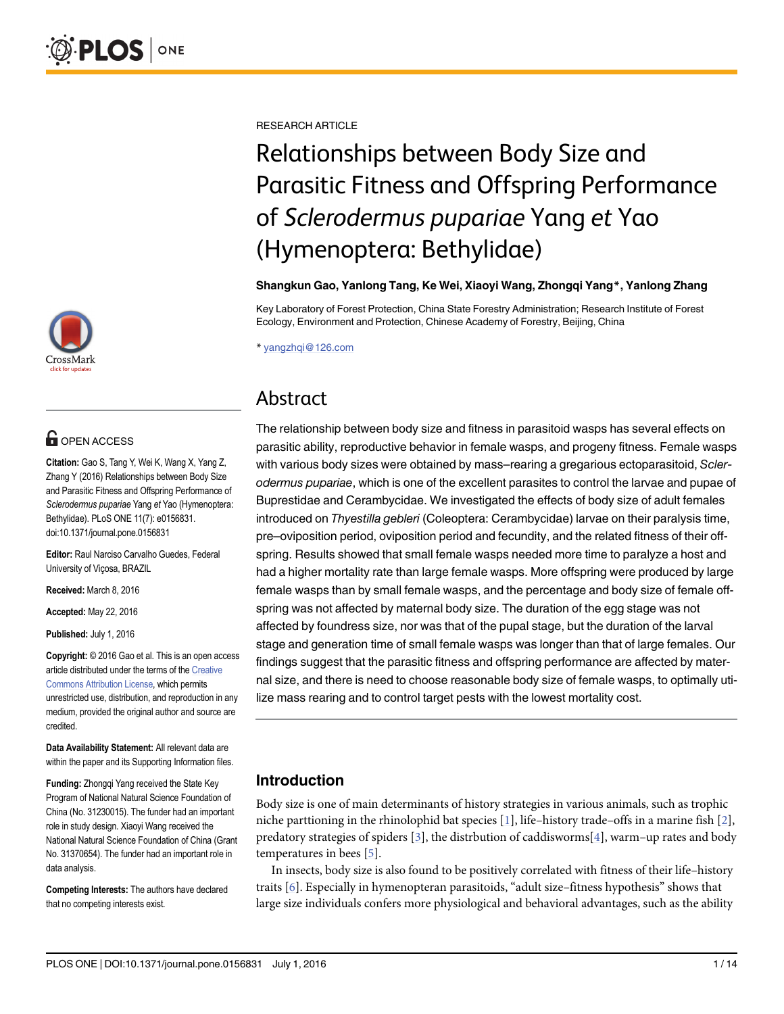

# **O** OPEN ACCESS

Citation: Gao S, Tang Y, Wei K, Wang X, Yang Z, Zhang Y (2016) Relationships between Body Size and Parasitic Fitness and Offspring Performance of Sclerodermus pupariae Yang et Yao (Hymenoptera: Bethylidae). PLoS ONE 11(7): e0156831. doi:10.1371/journal.pone.0156831

Editor: Raul Narciso Carvalho Guedes, Federal University of Viçosa, BRAZIL

Received: March 8, 2016

Accepted: May 22, 2016

Published: July 1, 2016

Copyright: © 2016 Gao et al. This is an open access article distributed under the terms of the [Creative](http://creativecommons.org/licenses/by/4.0/) [Commons Attribution License](http://creativecommons.org/licenses/by/4.0/), which permits unrestricted use, distribution, and reproduction in any medium, provided the original author and source are credited.

Data Availability Statement: All relevant data are within the paper and its Supporting Information files.

Funding: Zhongqi Yang received the State Key Program of National Natural Science Foundation of China (No. 31230015). The funder had an important role in study design. Xiaoyi Wang received the National Natural Science Foundation of China (Grant No. 31370654). The funder had an important role in data analysis.

Competing Interests: The authors have declared that no competing interests exist.

<span id="page-0-0"></span>RESEARCH ARTICLE

# Relationships between Body Size and Parasitic Fitness and Offspring Performance of Sclerodermus pupariae Yang et Yao (Hymenoptera: Bethylidae)

#### Shangkun Gao, Yanlong Tang, Ke Wei, Xiaoyi Wang, Zhongqi Yang\*, Yanlong Zhang

Key Laboratory of Forest Protection, China State Forestry Administration; Research Institute of Forest Ecology, Environment and Protection, Chinese Academy of Forestry, Beijing, China

\* yangzhqi@126.com

# Abstract

The relationship between body size and fitness in parasitoid wasps has several effects on parasitic ability, reproductive behavior in female wasps, and progeny fitness. Female wasps with various body sizes were obtained by mass-rearing a gregarious ectoparasitoid, Sclerodermus pupariae, which is one of the excellent parasites to control the larvae and pupae of Buprestidae and Cerambycidae. We investigated the effects of body size of adult females introduced on Thyestilla gebleri (Coleoptera: Cerambycidae) larvae on their paralysis time, pre–oviposition period, oviposition period and fecundity, and the related fitness of their offspring. Results showed that small female wasps needed more time to paralyze a host and had a higher mortality rate than large female wasps. More offspring were produced by large female wasps than by small female wasps, and the percentage and body size of female offspring was not affected by maternal body size. The duration of the egg stage was not affected by foundress size, nor was that of the pupal stage, but the duration of the larval stage and generation time of small female wasps was longer than that of large females. Our findings suggest that the parasitic fitness and offspring performance are affected by maternal size, and there is need to choose reasonable body size of female wasps, to optimally utilize mass rearing and to control target pests with the lowest mortality cost.

# Introduction

Body size is one of main determinants of history strategies in various animals, such as trophic niche parttioning in the rhinolophid bat species [[1\]](#page-10-0), life–history trade–offs in a marine fish [[2](#page-10-0)], predatory strategies of spiders  $[3]$ , the distrbution of caddisworms $[4]$ , warm–up rates and body temperatures in bees [\[5](#page-10-0)].

In insects, body size is also found to be positively correlated with fitness of their life–history traits [[6\]](#page-10-0). Especially in hymenopteran parasitoids, "adult size–fitness hypothesis" shows that large size individuals confers more physiological and behavioral advantages, such as the ability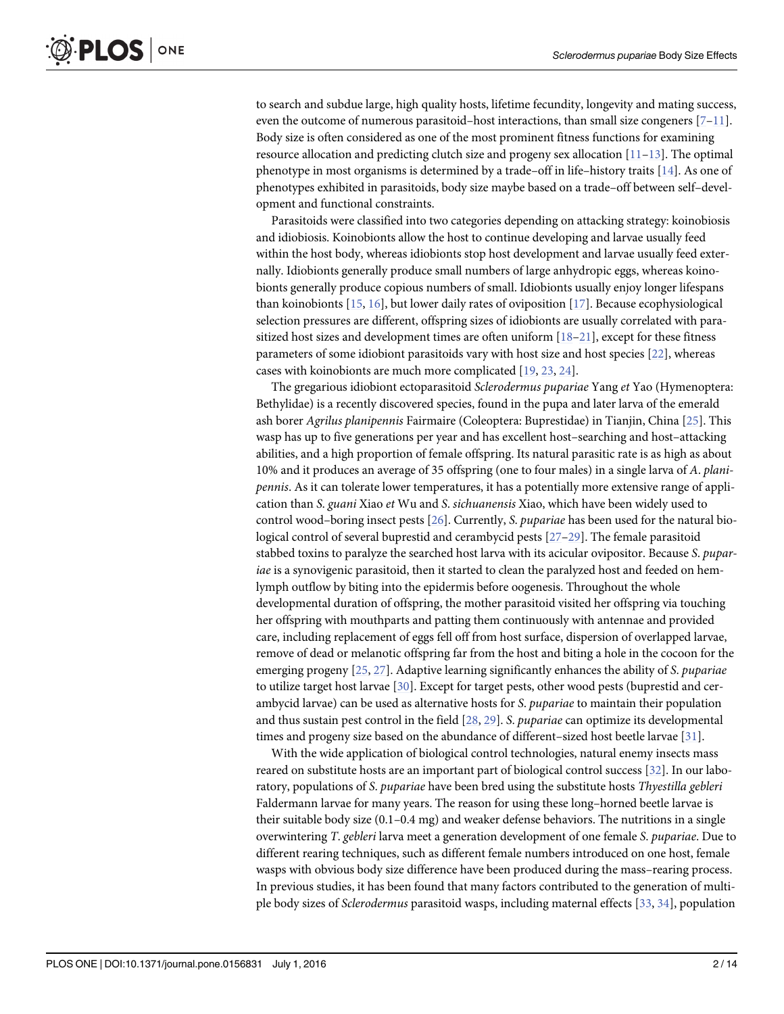<span id="page-1-0"></span>to search and subdue large, high quality hosts, lifetime fecundity, longevity and mating success, even the outcome of numerous parasitoid–host interactions, than small size congeners  $[7-11]$  $[7-11]$  $[7-11]$  $[7-11]$  $[7-11]$ . Body size is often considered as one of the most prominent fitness functions for examining resource allocation and predicting clutch size and progeny sex allocation  $[11-13]$  $[11-13]$  $[11-13]$  $[11-13]$  $[11-13]$ . The optimal phenotype in most organisms is determined by a trade–off in life–history traits [[14](#page-11-0)]. As one of phenotypes exhibited in parasitoids, body size maybe based on a trade–off between self–development and functional constraints.

Parasitoids were classified into two categories depending on attacking strategy: koinobiosis and idiobiosis. Koinobionts allow the host to continue developing and larvae usually feed within the host body, whereas idiobionts stop host development and larvae usually feed externally. Idiobionts generally produce small numbers of large anhydropic eggs, whereas koinobionts generally produce copious numbers of small. Idiobionts usually enjoy longer lifespans than koinobionts [[15](#page-11-0), [16](#page-11-0)], but lower daily rates of oviposition [[17](#page-11-0)]. Because ecophysiological selection pressures are different, offspring sizes of idiobionts are usually correlated with parasitized host sizes and development times are often uniform  $[18-21]$  $[18-21]$  $[18-21]$  $[18-21]$  $[18-21]$ , except for these fitness parameters of some idiobiont parasitoids vary with host size and host species [\[22\]](#page-11-0), whereas cases with koinobionts are much more complicated [[19](#page-11-0), [23](#page-11-0), [24](#page-11-0)].

The gregarious idiobiont ectoparasitoid Sclerodermus pupariae Yang et Yao (Hymenoptera: Bethylidae) is a recently discovered species, found in the pupa and later larva of the emerald ash borer Agrilus planipennis Fairmaire (Coleoptera: Buprestidae) in Tianjin, China [\[25\]](#page-11-0). This wasp has up to five generations per year and has excellent host–searching and host–attacking abilities, and a high proportion of female offspring. Its natural parasitic rate is as high as about 10% and it produces an average of 35 offspring (one to four males) in a single larva of A. planipennis. As it can tolerate lower temperatures, it has a potentially more extensive range of application than S. guani Xiao et Wu and S. sichuanensis Xiao, which have been widely used to control wood–boring insect pests [\[26\]](#page-11-0). Currently, S. pupariae has been used for the natural biological control of several buprestid and cerambycid pests [\[27](#page-11-0)–[29](#page-11-0)]. The female parasitoid stabbed toxins to paralyze the searched host larva with its acicular ovipositor. Because S. pupariae is a synovigenic parasitoid, then it started to clean the paralyzed host and feeded on hemlymph outflow by biting into the epidermis before oogenesis. Throughout the whole developmental duration of offspring, the mother parasitoid visited her offspring via touching her offspring with mouthparts and patting them continuously with antennae and provided care, including replacement of eggs fell off from host surface, dispersion of overlapped larvae, remove of dead or melanotic offspring far from the host and biting a hole in the cocoon for the emerging progeny [[25](#page-11-0), [27](#page-11-0)]. Adaptive learning significantly enhances the ability of S. pupariae to utilize target host larvae  $[30]$ . Except for target pests, other wood pests (buprestid and cerambycid larvae) can be used as alternative hosts for S. *pupariae* to maintain their population and thus sustain pest control in the field [[28,](#page-11-0) [29\]](#page-11-0). S. pupariae can optimize its developmental times and progeny size based on the abundance of different–sized host beetle larvae [\[31\]](#page-12-0).

With the wide application of biological control technologies, natural enemy insects mass reared on substitute hosts are an important part of biological control success [\[32\]](#page-12-0). In our laboratory, populations of S. pupariae have been bred using the substitute hosts Thyestilla gebleri Faldermann larvae for many years. The reason for using these long–horned beetle larvae is their suitable body size (0.1–0.4 mg) and weaker defense behaviors. The nutritions in a single overwintering T. gebleri larva meet a generation development of one female S. pupariae. Due to different rearing techniques, such as different female numbers introduced on one host, female wasps with obvious body size difference have been produced during the mass–rearing process. In previous studies, it has been found that many factors contributed to the generation of multiple body sizes of Sclerodermus parasitoid wasps, including maternal effects [\[33](#page-12-0), [34](#page-12-0)], population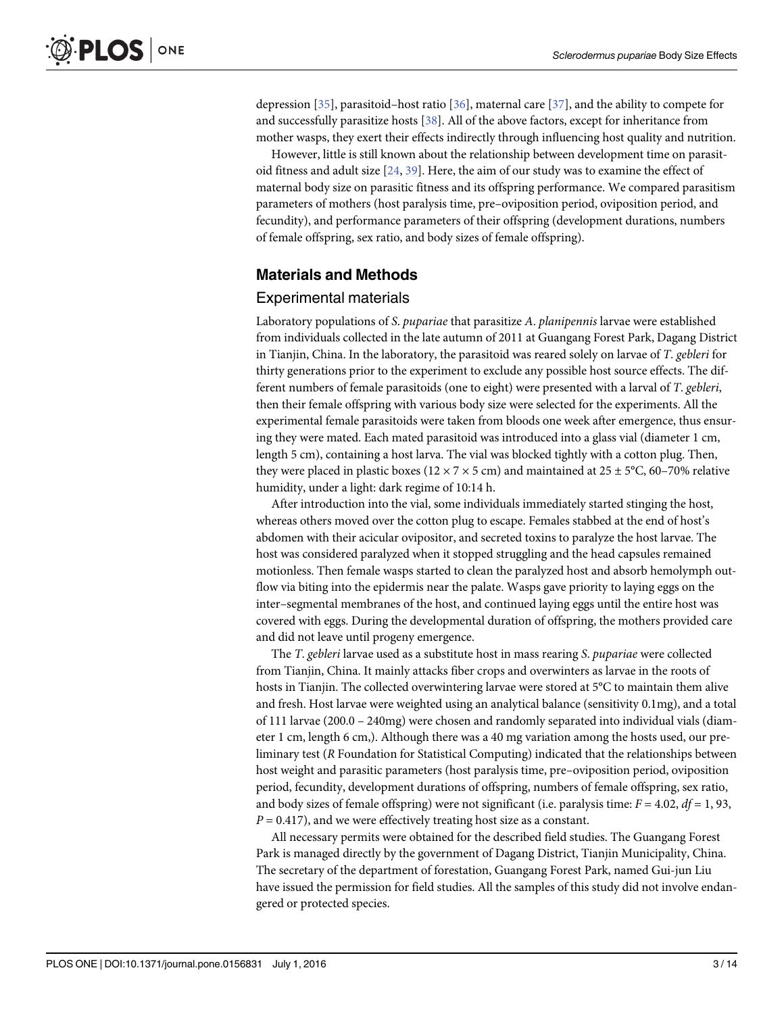<span id="page-2-0"></span>depression [\[35](#page-12-0)], parasitoid–host ratio [\[36\]](#page-12-0), maternal care [\[37](#page-12-0)], and the ability to compete for and successfully parasitize hosts [\[38\]](#page-12-0). All of the above factors, except for inheritance from mother wasps, they exert their effects indirectly through influencing host quality and nutrition.

However, little is still known about the relationship between development time on parasitoid fitness and adult size [[24](#page-11-0), [39](#page-12-0)]. Here, the aim of our study was to examine the effect of maternal body size on parasitic fitness and its offspring performance. We compared parasitism parameters of mothers (host paralysis time, pre–oviposition period, oviposition period, and fecundity), and performance parameters of their offspring (development durations, numbers of female offspring, sex ratio, and body sizes of female offspring).

## Materials and Methods

#### Experimental materials

Laboratory populations of S. pupariae that parasitize A. planipennis larvae were established from individuals collected in the late autumn of 2011 at Guangang Forest Park, Dagang District in Tianjin, China. In the laboratory, the parasitoid was reared solely on larvae of T. gebleri for thirty generations prior to the experiment to exclude any possible host source effects. The different numbers of female parasitoids (one to eight) were presented with a larval of T. gebleri, then their female offspring with various body size were selected for the experiments. All the experimental female parasitoids were taken from bloods one week after emergence, thus ensuring they were mated. Each mated parasitoid was introduced into a glass vial (diameter 1 cm, length 5 cm), containing a host larva. The vial was blocked tightly with a cotton plug. Then, they were placed in plastic boxes ( $12 \times 7 \times 5$  cm) and maintained at  $25 \pm 5^{\circ}$ C, 60-70% relative humidity, under a light: dark regime of 10:14 h.

After introduction into the vial, some individuals immediately started stinging the host, whereas others moved over the cotton plug to escape. Females stabbed at the end of host's abdomen with their acicular ovipositor, and secreted toxins to paralyze the host larvae. The host was considered paralyzed when it stopped struggling and the head capsules remained motionless. Then female wasps started to clean the paralyzed host and absorb hemolymph outflow via biting into the epidermis near the palate. Wasps gave priority to laying eggs on the inter–segmental membranes of the host, and continued laying eggs until the entire host was covered with eggs. During the developmental duration of offspring, the mothers provided care and did not leave until progeny emergence.

The T. gebleri larvae used as a substitute host in mass rearing S. pupariae were collected from Tianjin, China. It mainly attacks fiber crops and overwinters as larvae in the roots of hosts in Tianjin. The collected overwintering larvae were stored at 5°C to maintain them alive and fresh. Host larvae were weighted using an analytical balance (sensitivity 0.1mg), and a total of 111 larvae (200.0 – 240mg) were chosen and randomly separated into individual vials (diameter 1 cm, length 6 cm,). Although there was a 40 mg variation among the hosts used, our preliminary test (R Foundation for Statistical Computing) indicated that the relationships between host weight and parasitic parameters (host paralysis time, pre–oviposition period, oviposition period, fecundity, development durations of offspring, numbers of female offspring, sex ratio, and body sizes of female offspring) were not significant (i.e. paralysis time:  $F = 4.02$ ,  $df = 1$ , 93,  $P = 0.417$ , and we were effectively treating host size as a constant.

All necessary permits were obtained for the described field studies. The Guangang Forest Park is managed directly by the government of Dagang District, Tianjin Municipality, China. The secretary of the department of forestation, Guangang Forest Park, named Gui-jun Liu have issued the permission for field studies. All the samples of this study did not involve endangered or protected species.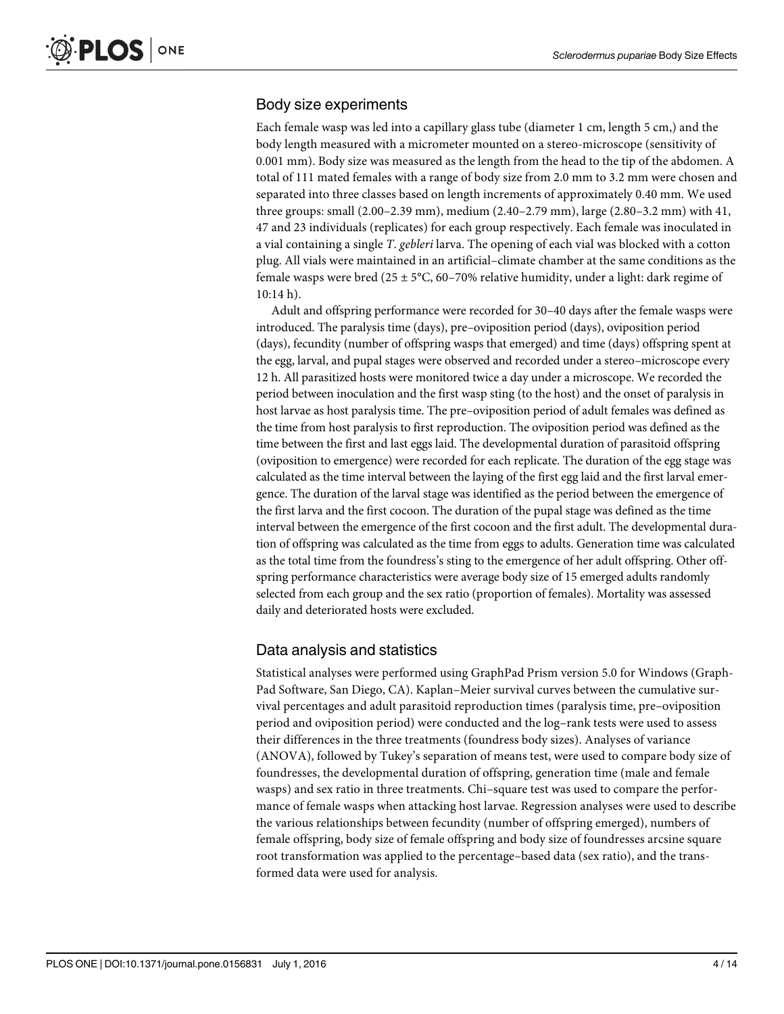# Body size experiments

Each female wasp was led into a capillary glass tube (diameter 1 cm, length 5 cm,) and the body length measured with a micrometer mounted on a stereo-microscope (sensitivity of 0.001 mm). Body size was measured as the length from the head to the tip of the abdomen. A total of 111 mated females with a range of body size from 2.0 mm to 3.2 mm were chosen and separated into three classes based on length increments of approximately 0.40 mm. We used three groups: small (2.00–2.39 mm), medium (2.40–2.79 mm), large (2.80–3.2 mm) with 41, 47 and 23 individuals (replicates) for each group respectively. Each female was inoculated in a vial containing a single T. gebleri larva. The opening of each vial was blocked with a cotton plug. All vials were maintained in an artificial–climate chamber at the same conditions as the female wasps were bred ( $25 \pm 5^{\circ}$ C, 60-70% relative humidity, under a light: dark regime of 10:14 h).

Adult and offspring performance were recorded for 30–40 days after the female wasps were introduced. The paralysis time (days), pre–oviposition period (days), oviposition period (days), fecundity (number of offspring wasps that emerged) and time (days) offspring spent at the egg, larval, and pupal stages were observed and recorded under a stereo–microscope every 12 h. All parasitized hosts were monitored twice a day under a microscope. We recorded the period between inoculation and the first wasp sting (to the host) and the onset of paralysis in host larvae as host paralysis time. The pre–oviposition period of adult females was defined as the time from host paralysis to first reproduction. The oviposition period was defined as the time between the first and last eggs laid. The developmental duration of parasitoid offspring (oviposition to emergence) were recorded for each replicate. The duration of the egg stage was calculated as the time interval between the laying of the first egg laid and the first larval emergence. The duration of the larval stage was identified as the period between the emergence of the first larva and the first cocoon. The duration of the pupal stage was defined as the time interval between the emergence of the first cocoon and the first adult. The developmental duration of offspring was calculated as the time from eggs to adults. Generation time was calculated as the total time from the foundress's sting to the emergence of her adult offspring. Other offspring performance characteristics were average body size of 15 emerged adults randomly selected from each group and the sex ratio (proportion of females). Mortality was assessed daily and deteriorated hosts were excluded.

# Data analysis and statistics

Statistical analyses were performed using GraphPad Prism version 5.0 for Windows (Graph-Pad Software, San Diego, CA). Kaplan–Meier survival curves between the cumulative survival percentages and adult parasitoid reproduction times (paralysis time, pre–oviposition period and oviposition period) were conducted and the log–rank tests were used to assess their differences in the three treatments (foundress body sizes). Analyses of variance (ANOVA), followed by Tukey's separation of means test, were used to compare body size of foundresses, the developmental duration of offspring, generation time (male and female wasps) and sex ratio in three treatments. Chi–square test was used to compare the performance of female wasps when attacking host larvae. Regression analyses were used to describe the various relationships between fecundity (number of offspring emerged), numbers of female offspring, body size of female offspring and body size of foundresses arcsine square root transformation was applied to the percentage–based data (sex ratio), and the transformed data were used for analysis.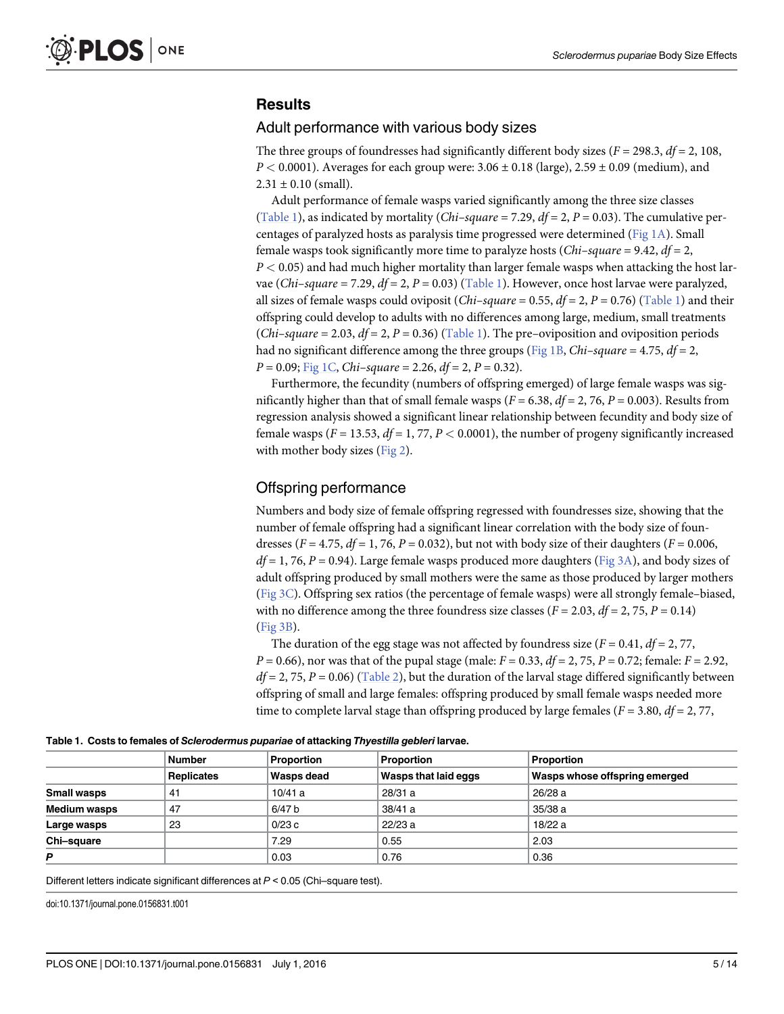## <span id="page-4-0"></span>**Results**

#### Adult performance with various body sizes

The three groups of foundresses had significantly different body sizes ( $F = 298.3$ ,  $df = 2$ , 108,  $P < 0.0001$ ). Averages for each group were:  $3.06 \pm 0.18$  (large),  $2.59 \pm 0.09$  (medium), and  $2.31 \pm 0.10$  (small).

Adult performance of female wasps varied significantly among the three size classes (Table 1), as indicated by mortality (*Chi–square* = 7.29,  $df = 2$ ,  $P = 0.03$ ). The cumulative percentages of paralyzed hosts as paralysis time progressed were determined ([Fig 1A](#page-6-0)). Small female wasps took significantly more time to paralyze hosts (*Chi–square* = 9.42,  $df = 2$ ,  $P < 0.05$ ) and had much higher mortality than larger female wasps when attacking the host larvae (Chi–square = 7.29,  $df = 2$ ,  $P = 0.03$ ) (Table 1). However, once host larvae were paralyzed, all sizes of female wasps could oviposit (*Chi–square* = 0.55,  $df = 2$ ,  $P = 0.76$ ) (<u>Table 1</u>) and their offspring could develop to adults with no differences among large, medium, small treatments (*Chi–square* = 2.03,  $df = 2$ ,  $P = 0.36$ ) (Table 1). The pre–oviposition and oviposition periods had no significant difference among the three groups ([Fig 1B](#page-6-0), Chi–square = 4.75,  $df = 2$ ,  $P = 0.09$ ; [Fig 1C,](#page-6-0) Chi–square = 2.26, df = 2, P = 0.32).

Furthermore, the fecundity (numbers of offspring emerged) of large female wasps was significantly higher than that of small female wasps ( $F = 6.38$ ,  $df = 2$ , 76,  $P = 0.003$ ). Results from regression analysis showed a significant linear relationship between fecundity and body size of female wasps ( $F = 13.53$ ,  $df = 1, 77$ ,  $P < 0.0001$ ), the number of progeny significantly increased with mother body sizes [\(Fig 2\)](#page-6-0).

#### Offspring performance

Numbers and body size of female offspring regressed with foundresses size, showing that the number of female offspring had a significant linear correlation with the body size of foundresses ( $F = 4.75$ ,  $df = 1, 76$ ,  $P = 0.032$ ), but not with body size of their daughters ( $F = 0.006$ ,  $df = 1$ , 76, P = 0.94). Large female wasps produced more daughters ([Fig 3A](#page-8-0)), and body sizes of adult offspring produced by small mothers were the same as those produced by larger mothers [\(Fig 3C](#page-8-0)). Offspring sex ratios (the percentage of female wasps) were all strongly female–biased, with no difference among the three foundress size classes ( $F = 2.03$ ,  $df = 2$ , 75,  $P = 0.14$ ) [\(Fig 3B\)](#page-8-0).

The duration of the egg stage was not affected by foundress size  $(F = 0.41, df = 2, 77,$  $P = 0.66$ ), nor was that of the pupal stage (male:  $F = 0.33$ ,  $df = 2, 75$ ,  $P = 0.72$ ; female:  $F = 2.92$ ,  $df = 2$ , 75, P = 0.06) [\(Table 2\)](#page-8-0), but the duration of the larval stage differed significantly between offspring of small and large females: offspring produced by small female wasps needed more time to complete larval stage than offspring produced by large females ( $F = 3.80$ ,  $df = 2, 77$ ,

| Table 1. Costs to females of Sclerodermus pupariae of attacking Thyestilla gebleri larvae. |  |  |
|--------------------------------------------------------------------------------------------|--|--|
|                                                                                            |  |  |

|                     | Number     | <b>Proportion</b> | Proportion           | Proportion                    |
|---------------------|------------|-------------------|----------------------|-------------------------------|
|                     | Replicates | Wasps dead        | Wasps that laid eggs | Wasps whose offspring emerged |
| <b>Small wasps</b>  | 41         | 10/41a            | 28/31a               | 26/28 a                       |
| <b>Medium wasps</b> | 47         | 6/47 b            | 38/41a               | 35/38a                        |
| Large wasps         | 23         | 0/23c             | 22/23a               | 18/22 a                       |
| Chi-square          |            | 7.29              | 0.55                 | 2.03                          |
| P                   |            | 0.03              | 0.76                 | 0.36                          |

Different letters indicate significant differences at P < 0.05 (Chi–square test).

doi:10.1371/journal.pone.0156831.t001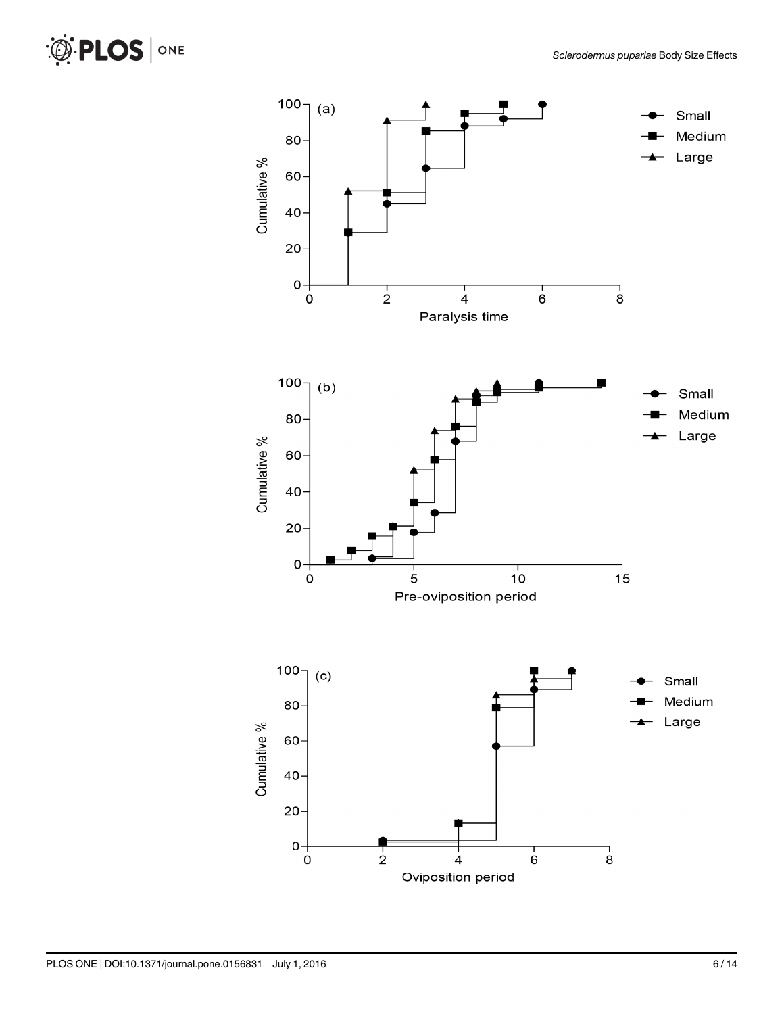

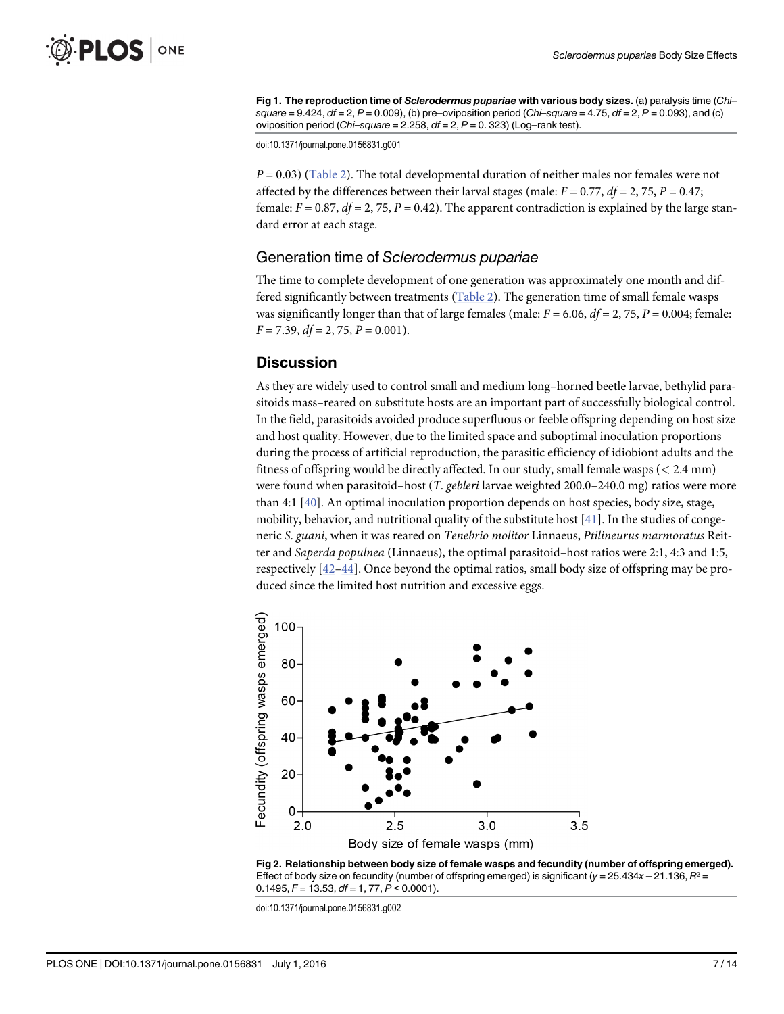<span id="page-6-0"></span>[Fig 1. T](#page-4-0)he reproduction time of Sclerodermus pupariae with various body sizes. (a) paralysis time (Chisquare =  $9.424$ ,  $df = 2$ ,  $P = 0.009$ ), (b) pre–oviposition period (Chi–square =  $4.75$ ,  $df = 2$ ,  $P = 0.093$ ), and (c) oviposition period (Chi–square =  $2.258$ , df =  $2, P = 0.323$ ) (Log–rank test).

doi:10.1371/journal.pone.0156831.g001

 $P = 0.03$ ) [\(Table 2\)](#page-8-0). The total developmental duration of neither males nor females were not affected by the differences between their larval stages (male:  $F = 0.77$ ,  $df = 2$ , 75,  $P = 0.47$ ; female:  $F = 0.87$ ,  $df = 2$ , 75,  $P = 0.42$ ). The apparent contradiction is explained by the large standard error at each stage.

#### Generation time of Sclerodermus pupariae

The time to complete development of one generation was approximately one month and differed significantly between treatments [\(Table 2](#page-8-0)). The generation time of small female wasps was significantly longer than that of large females (male:  $F = 6.06$ ,  $df = 2$ , 75,  $P = 0.004$ ; female:  $F = 7.39, df = 2, 75, P = 0.001$ .

#### **Discussion**

As they are widely used to control small and medium long–horned beetle larvae, bethylid parasitoids mass–reared on substitute hosts are an important part of successfully biological control. In the field, parasitoids avoided produce superfluous or feeble offspring depending on host size and host quality. However, due to the limited space and suboptimal inoculation proportions during the process of artificial reproduction, the parasitic efficiency of idiobiont adults and the fitness of offspring would be directly affected. In our study, small female wasps (< 2.4 mm) were found when parasitoid–host (T. gebleri larvae weighted 200.0–240.0 mg) ratios were more than 4:1 [[40](#page-12-0)]. An optimal inoculation proportion depends on host species, body size, stage, mobility, behavior, and nutritional quality of the substitute host [\[41\]](#page-12-0). In the studies of congeneric S. guani, when it was reared on Tenebrio molitor Linnaeus, Ptilineurus marmoratus Reitter and Saperda populnea (Linnaeus), the optimal parasitoid–host ratios were 2:1, 4:3 and 1:5, respectively  $[42-44]$  $[42-44]$  $[42-44]$  $[42-44]$ . Once beyond the optimal ratios, small body size of offspring may be produced since the limited host nutrition and excessive eggs.



[Fig 2. R](#page-4-0)elationship between body size of female wasps and fecundity (number of offspring emerged). Effect of body size on fecundity (number of offspring emerged) is significant ( $y = 25.434x - 21.136$ ,  $R<sup>2</sup> =$  $0.1495, F = 13.53, df = 1, 77, P < 0.0001$ .

doi:10.1371/journal.pone.0156831.g002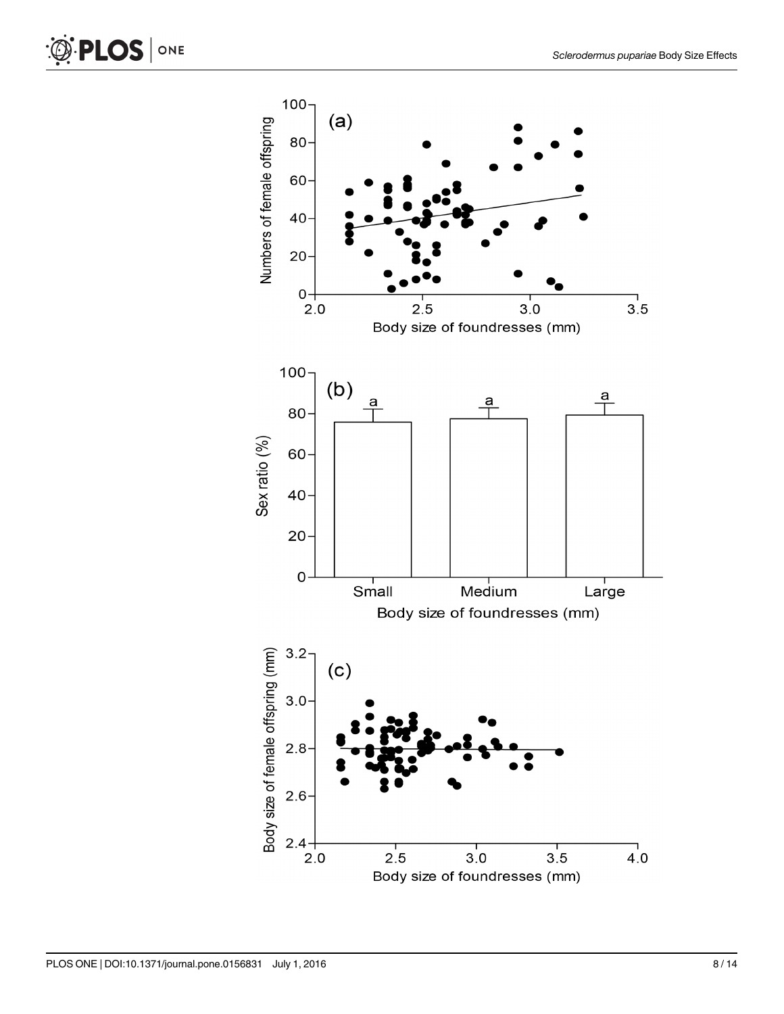

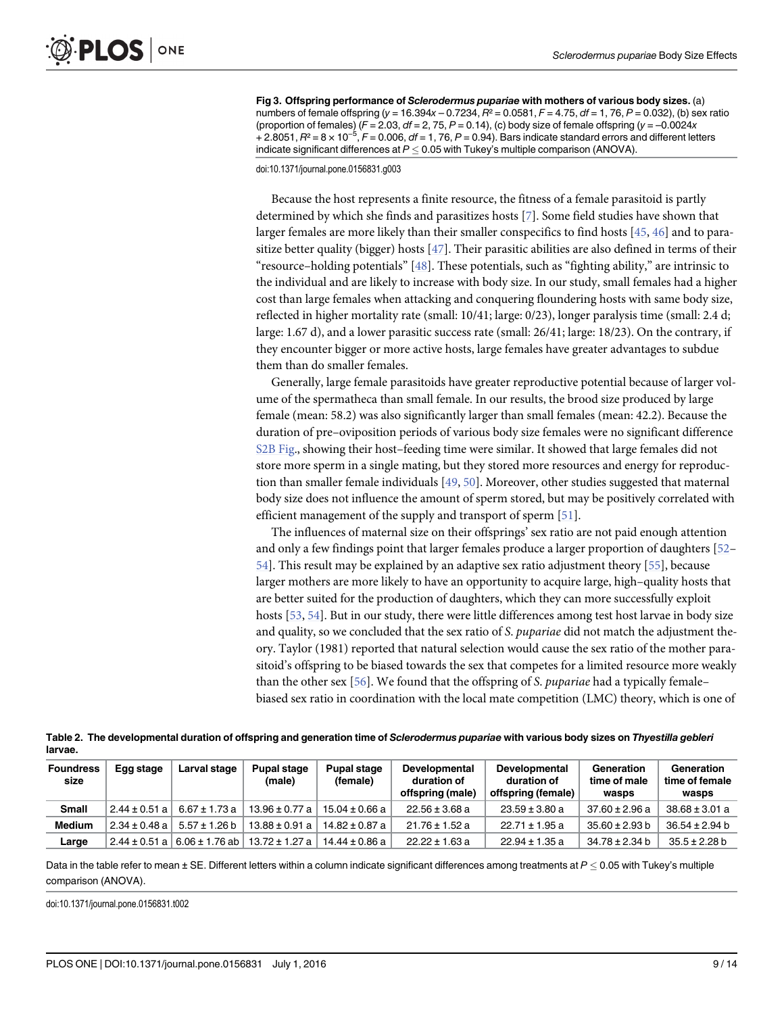<span id="page-8-0"></span>[Fig 3. O](#page-4-0)ffspring performance of Sclerodermus pupariae with mothers of various body sizes. (a) numbers of female offspring (y = 16.394x – 0.7234,  $R^2 = 0.0581$ ,  $F = 4.75$ ,  $d^2 = 1$ , 76,  $P = 0.032$ ), (b) sex ratio (proportion of females) ( $F = 2.03$ ,  $df = 2$ , 75,  $P = 0.14$ ), (c) body size of female offspring ( $y = -0.0024x$ numbers of female offs<br>(proportion of females)<br>+ 2.8051,  $R$ <sup>2</sup> = 8 × 10<sup>−5</sup>  $+2.8051$ ,  $R^2 = 8 \times 10^{-5}$ ,  $F = 0.006$ ,  $df = 1$ , 76,  $P = 0.94$ ). Bars indicate standard errors and different letters indicate significant differences at  $P \le 0.05$  with Tukey's multiple comparison (ANOVA).

doi:10.1371/journal.pone.0156831.g003

Because the host represents a finite resource, the fitness of a female parasitoid is partly determined by which she finds and parasitizes hosts [[7\]](#page-10-0). Some field studies have shown that larger females are more likely than their smaller conspecifics to find hosts  $[45, 46]$  $[45, 46]$  $[45, 46]$  $[45, 46]$  $[45, 46]$  and to parasitize better quality (bigger) hosts  $[47]$ . Their parasitic abilities are also defined in terms of their "resource–holding potentials"  $[48]$ . These potentials, such as "fighting ability," are intrinsic to the individual and are likely to increase with body size. In our study, small females had a higher cost than large females when attacking and conquering floundering hosts with same body size, reflected in higher mortality rate (small: 10/41; large: 0/23), longer paralysis time (small: 2.4 d; large: 1.67 d), and a lower parasitic success rate (small: 26/41; large: 18/23). On the contrary, if they encounter bigger or more active hosts, large females have greater advantages to subdue them than do smaller females.

Generally, large female parasitoids have greater reproductive potential because of larger volume of the spermatheca than small female. In our results, the brood size produced by large female (mean: 58.2) was also significantly larger than small females (mean: 42.2). Because the duration of pre–oviposition periods of various body size females were no significant difference [S2B Fig.](#page-10-0), showing their host–feeding time were similar. It showed that large females did not store more sperm in a single mating, but they stored more resources and energy for reproduction than smaller female individuals [[49,](#page-12-0) [50](#page-12-0)]. Moreover, other studies suggested that maternal body size does not influence the amount of sperm stored, but may be positively correlated with efficient management of the supply and transport of sperm [[51](#page-12-0)].

The influences of maternal size on their offsprings' sex ratio are not paid enough attention and only a few findings point that larger females produce a larger proportion of daughters [\[52](#page-12-0)– [54\]](#page-12-0). This result may be explained by an adaptive sex ratio adjustment theory [\[55](#page-12-0)], because larger mothers are more likely to have an opportunity to acquire large, high–quality hosts that are better suited for the production of daughters, which they can more successfully exploit hosts [\[53,](#page-12-0) [54\]](#page-12-0). But in our study, there were little differences among test host larvae in body size and quality, so we concluded that the sex ratio of S. pupariae did not match the adjustment theory. Taylor (1981) reported that natural selection would cause the sex ratio of the mother parasitoid's offspring to be biased towards the sex that competes for a limited resource more weakly than the other sex  $[56]$  $[56]$  $[56]$ . We found that the offspring of S. *pupariae* had a typically female– biased sex ratio in coordination with the local mate competition (LMC) theory, which is one of

| <b>Foundress</b><br>size | Egg stage         | Larval stage                           | <b>Pupal stage</b><br>(male) | <b>Pupal stage</b><br>(female) | <b>Developmental</b><br>duration of<br>offspring (male) | Developmental<br>duration of<br>offspring (female) | Generation<br>time of male<br>wasps | Generation<br>time of female<br>wasps |
|--------------------------|-------------------|----------------------------------------|------------------------------|--------------------------------|---------------------------------------------------------|----------------------------------------------------|-------------------------------------|---------------------------------------|
| <b>Small</b>             | $2.44 \pm 0.51$ a | $6.67 \pm 1.73a$                       | $13.96 \pm 0.77 a$           | $15.04 \pm 0.66$ a             | $22.56 \pm 3.68$ a                                      | $23.59 \pm 3.80$ a                                 | $37.60 \pm 2.96 a$                  | $38.68 \pm 3.01 a$                    |
| <b>Medium</b>            | $2.34 \pm 0.48$ a | $5.57 + 1.26$ h                        | $13.88 \pm 0.91$ a           | 14.82 + 0.87 a                 | $21.76 \pm 1.52$ a                                      | $22.71 \pm 1.95$ a                                 | $35.60 \pm 2.93 b$                  | $36.54 \pm 2.94$ b                    |
| Large                    |                   | $2.44 \pm 0.51$ a $  6.06 \pm 1.76$ ab | $13.72 \pm 1.27$ a $\vert$   | 14.44 + 0.86 a                 | $22.22 \pm 1.63$ a                                      | $22.94 \pm 1.35$ a                                 | $34.78 \pm 2.34$ b                  | $35.5 \pm 2.28$ b                     |

[Table 2.](#page-4-0) The developmental duration of offspring and generation time of Sclerodermus pupariae with various body sizes on Thyestilla gebleri larvae.

Data in the table refer to mean  $\pm$  SE. Different letters within a column indicate significant differences among treatments at  $P < 0.05$  with Tukey's multiple comparison (ANOVA).

doi:10.1371/journal.pone.0156831.t002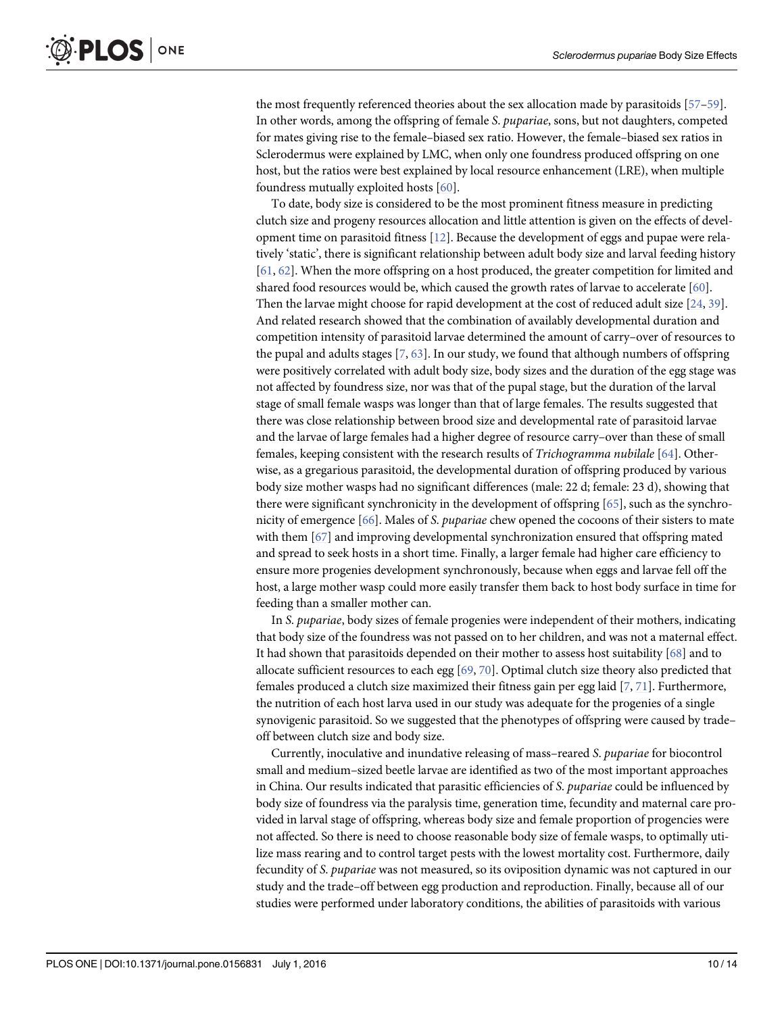<span id="page-9-0"></span>the most frequently referenced theories about the sex allocation made by parasitoids [[57](#page-13-0)–[59](#page-13-0)]. In other words, among the offspring of female S. pupariae, sons, but not daughters, competed for mates giving rise to the female–biased sex ratio. However, the female–biased sex ratios in Sclerodermus were explained by LMC, when only one foundress produced offspring on one host, but the ratios were best explained by local resource enhancement (LRE), when multiple foundress mutually exploited hosts [[60\]](#page-13-0).

To date, body size is considered to be the most prominent fitness measure in predicting clutch size and progeny resources allocation and little attention is given on the effects of development time on parasitoid fitness [[12\]](#page-11-0). Because the development of eggs and pupae were relatively 'static', there is significant relationship between adult body size and larval feeding history [\[61](#page-13-0), [62\]](#page-13-0). When the more offspring on a host produced, the greater competition for limited and shared food resources would be, which caused the growth rates of larvae to accelerate [\[60\]](#page-13-0). Then the larvae might choose for rapid development at the cost of reduced adult size [\[24,](#page-11-0) [39\]](#page-12-0). And related research showed that the combination of availably developmental duration and competition intensity of parasitoid larvae determined the amount of carry–over of resources to the pupal and adults stages [[7,](#page-10-0) [63\]](#page-13-0). In our study, we found that although numbers of offspring were positively correlated with adult body size, body sizes and the duration of the egg stage was not affected by foundress size, nor was that of the pupal stage, but the duration of the larval stage of small female wasps was longer than that of large females. The results suggested that there was close relationship between brood size and developmental rate of parasitoid larvae and the larvae of large females had a higher degree of resource carry–over than these of small females, keeping consistent with the research results of Trichogramma nubilale [[64](#page-13-0)]. Otherwise, as a gregarious parasitoid, the developmental duration of offspring produced by various body size mother wasps had no significant differences (male: 22 d; female: 23 d), showing that there were significant synchronicity in the development of offspring [[65\]](#page-13-0), such as the synchro-nicity of emergence [\[66\]](#page-13-0). Males of S. *pupariae* chew opened the cocoons of their sisters to mate with them [\[67\]](#page-13-0) and improving developmental synchronization ensured that offspring mated and spread to seek hosts in a short time. Finally, a larger female had higher care efficiency to ensure more progenies development synchronously, because when eggs and larvae fell off the host, a large mother wasp could more easily transfer them back to host body surface in time for feeding than a smaller mother can.

In S. pupariae, body sizes of female progenies were independent of their mothers, indicating that body size of the foundress was not passed on to her children, and was not a maternal effect. It had shown that parasitoids depended on their mother to assess host suitability [\[68\]](#page-13-0) and to allocate sufficient resources to each egg [\[69,](#page-13-0) [70\]](#page-13-0). Optimal clutch size theory also predicted that females produced a clutch size maximized their fitness gain per egg laid  $[7, 71]$  $[7, 71]$  $[7, 71]$  $[7, 71]$ . Furthermore, the nutrition of each host larva used in our study was adequate for the progenies of a single synovigenic parasitoid. So we suggested that the phenotypes of offspring were caused by trade– off between clutch size and body size.

Currently, inoculative and inundative releasing of mass–reared S. pupariae for biocontrol small and medium–sized beetle larvae are identified as two of the most important approaches in China. Our results indicated that parasitic efficiencies of S. pupariae could be influenced by body size of foundress via the paralysis time, generation time, fecundity and maternal care provided in larval stage of offspring, whereas body size and female proportion of progencies were not affected. So there is need to choose reasonable body size of female wasps, to optimally utilize mass rearing and to control target pests with the lowest mortality cost. Furthermore, daily fecundity of S. pupariae was not measured, so its oviposition dynamic was not captured in our study and the trade–off between egg production and reproduction. Finally, because all of our studies were performed under laboratory conditions, the abilities of parasitoids with various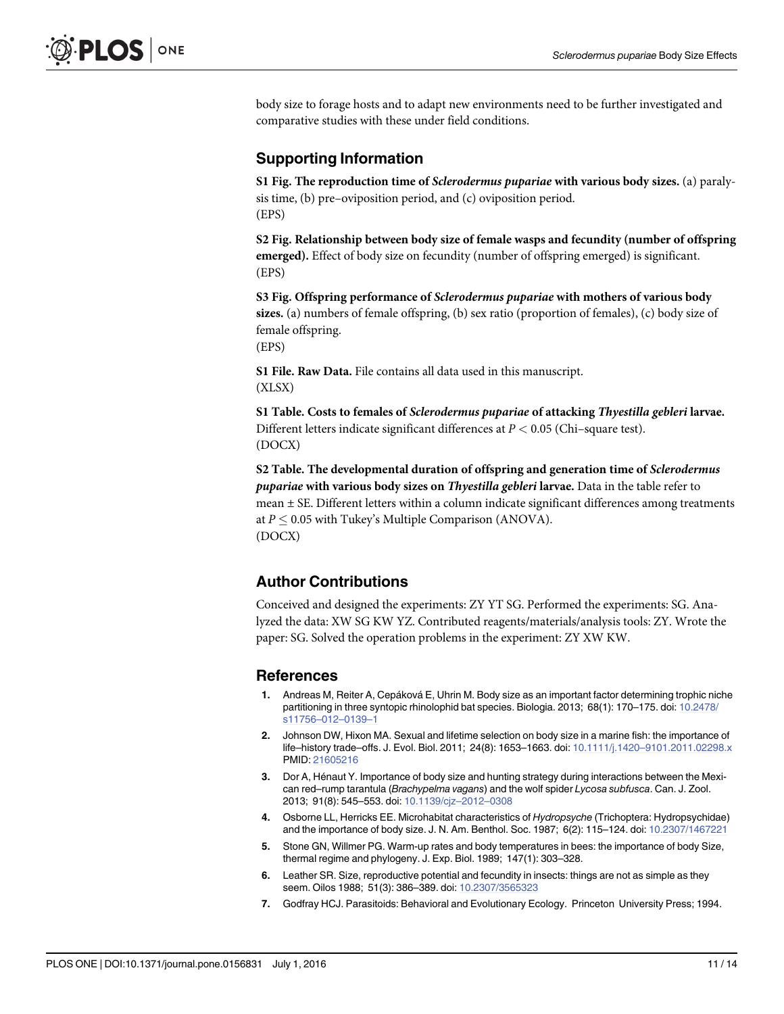<span id="page-10-0"></span>body size to forage hosts and to adapt new environments need to be further investigated and comparative studies with these under field conditions.

## Supporting Information

[S1 Fig.](http://www.plosone.org/article/fetchSingleRepresentation.action?uri=info:doi/10.1371/journal.pone.0156831.s001) The reproduction time of Sclerodermus pupariae with various body sizes. (a) paralysis time, (b) pre–oviposition period, and (c) oviposition period. (EPS)

[S2 Fig.](http://www.plosone.org/article/fetchSingleRepresentation.action?uri=info:doi/10.1371/journal.pone.0156831.s002) Relationship between body size of female wasps and fecundity (number of offspring emerged). Effect of body size on fecundity (number of offspring emerged) is significant. (EPS)

[S3 Fig.](http://www.plosone.org/article/fetchSingleRepresentation.action?uri=info:doi/10.1371/journal.pone.0156831.s003) Offspring performance of Sclerodermus pupariae with mothers of various body sizes. (a) numbers of female offspring, (b) sex ratio (proportion of females), (c) body size of female offspring. (EPS)

[S1 File.](http://www.plosone.org/article/fetchSingleRepresentation.action?uri=info:doi/10.1371/journal.pone.0156831.s004) Raw Data. File contains all data used in this manuscript. (XLSX)

[S1 Table](http://www.plosone.org/article/fetchSingleRepresentation.action?uri=info:doi/10.1371/journal.pone.0156831.s005). Costs to females of Sclerodermus pupariae of attacking Thyestilla gebleri larvae. Different letters indicate significant differences at  $P < 0.05$  (Chi–square test). (DOCX)

[S2 Table](http://www.plosone.org/article/fetchSingleRepresentation.action?uri=info:doi/10.1371/journal.pone.0156831.s006). The developmental duration of offspring and generation time of Sclerodermus pupariae with various body sizes on Thyestilla gebleri larvae. Data in the table refer to mean ± SE. Different letters within a column indicate significant differences among treatments at  $P \leq 0.05$  with Tukey's Multiple Comparison (ANOVA). (DOCX)

# Author Contributions

Conceived and designed the experiments: ZY YT SG. Performed the experiments: SG. Analyzed the data: XW SG KW YZ. Contributed reagents/materials/analysis tools: ZY. Wrote the paper: SG. Solved the operation problems in the experiment: ZY XW KW.

#### References

- [1.](#page-0-0) Andreas M, Reiter A, Cepáková E, Uhrin M. Body size as an important factor determining trophic niche partitioning in three syntopic rhinolophid bat species. Biologia. 2013; 68(1): 170–175. doi: [10.2478/](http://dx.doi.org/10.2478/s11756–012–0139–1) [s11756](http://dx.doi.org/10.2478/s11756–012–0139–1)–012–0139–1
- [2.](#page-0-0) Johnson DW, Hixon MA. Sexual and lifetime selection on body size in a marine fish: the importance of life–history trade–offs. J. Evol. Biol. 2011; 24(8): 1653–1663. doi: 10.1111/j.1420–[9101.2011.02298.x](http://dx.doi.org/10.1111/j.1420–9101.2011.02298.x) PMID: [21605216](http://www.ncbi.nlm.nih.gov/pubmed/21605216)
- [3.](#page-0-0) Dor A, Hénaut Y. Importance of body size and hunting strategy during interactions between the Mexican red–rump tarantula (Brachypelma vagans) and the wolf spider Lycosa subfusca. Can. J. Zool. 2013; 91(8): 545–553. doi: [10.1139/cjz](http://dx.doi.org/10.1139/cjz–2012–0308)–2012–0308
- [4.](#page-0-0) Osborne LL, Herricks EE. Microhabitat characteristics of Hydropsyche (Trichoptera: Hydropsychidae) and the importance of body size. J. N. Am. Benthol. Soc. 1987; 6(2): 115–124. doi: [10.2307/1467221](http://dx.doi.org/10.2307/1467221)
- [5.](#page-0-0) Stone GN, Willmer PG. Warm-up rates and body temperatures in bees: the importance of body Size, thermal regime and phylogeny. J. Exp. Biol. 1989; 147(1): 303–328.
- [6.](#page-0-0) Leather SR. Size, reproductive potential and fecundity in insects: things are not as simple as they seem. Oilos 1988; 51(3): 386-389. doi: [10.2307/3565323](http://dx.doi.org/10.2307/3565323)
- [7.](#page-1-0) Godfray HCJ. Parasitoids: Behavioral and Evolutionary Ecology. Princeton University Press; 1994.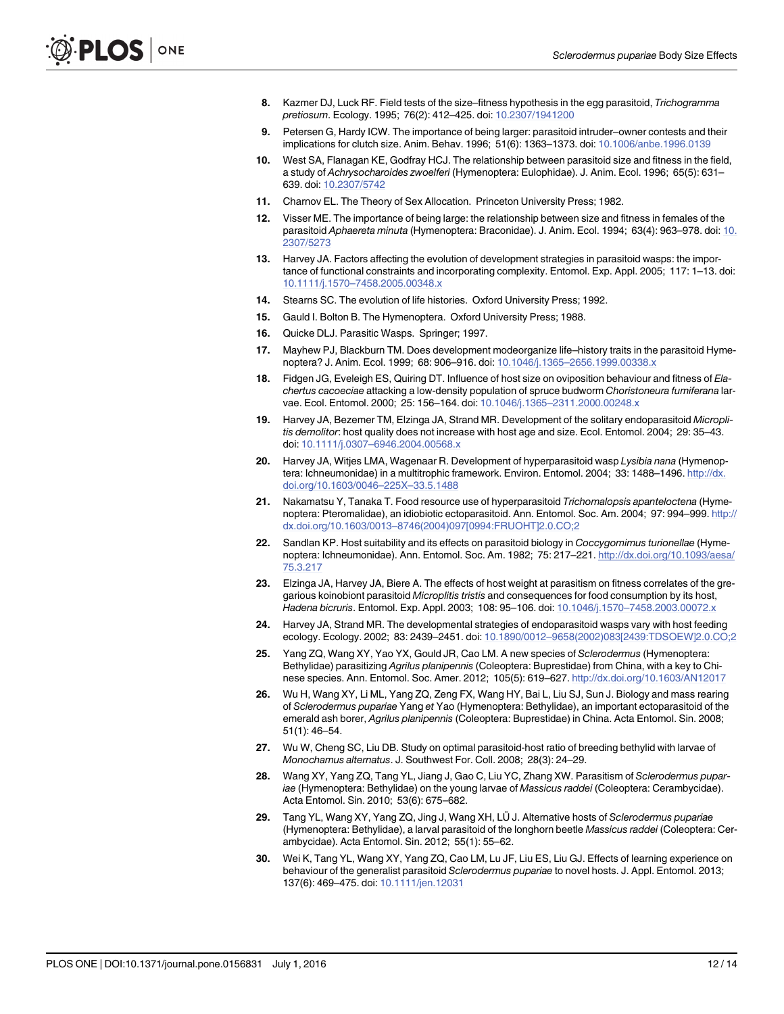- <span id="page-11-0"></span>8. Kazmer DJ, Luck RF. Field tests of the size–fitness hypothesis in the egg parasitoid, Trichogramma pretiosum. Ecology. 1995; 76(2): 412–425. doi: [10.2307/1941200](http://dx.doi.org/10.2307/1941200)
- 9. Petersen G, Hardy ICW. The importance of being larger: parasitoid intruder–owner contests and their implications for clutch size. Anim. Behav. 1996; 51(6): 1363–1373. doi: [10.1006/anbe.1996.0139](http://dx.doi.org/10.1006/anbe.1996.0139)
- 10. West SA, Flanagan KE, Godfray HCJ. The relationship between parasitoid size and fitness in the field, a study of Achrysocharoides zwoelferi (Hymenoptera: Eulophidae). J. Anim. Ecol. 1996; 65(5): 631– 639. doi: [10.2307/5742](http://dx.doi.org/10.2307/5742)
- [11.](#page-1-0) Charnov EL. The Theory of Sex Allocation. Princeton University Press; 1982.
- [12.](#page-9-0) Visser ME. The importance of being large: the relationship between size and fitness in females of the parasitoid Aphaereta minuta (Hymenoptera: Braconidae). J. Anim. Ecol. 1994; 63(4): 963-978. doi: [10.](http://dx.doi.org/10.2307/5273) [2307/5273](http://dx.doi.org/10.2307/5273)
- [13.](#page-1-0) Harvey JA. Factors affecting the evolution of development strategies in parasitoid wasps: the importance of functional constraints and incorporating complexity. Entomol. Exp. Appl. 2005; 117: 1–13. doi: 10.1111/j.1570–[7458.2005.00348.x](http://dx.doi.org/10.1111/j.1570–7458.2005.00348.x)
- [14.](#page-1-0) Stearns SC. The evolution of life histories. Oxford University Press; 1992.
- [15.](#page-1-0) Gauld I. Bolton B. The Hymenoptera. Oxford University Press; 1988.
- [16.](#page-1-0) Quicke DLJ. Parasitic Wasps. Springer; 1997.
- [17.](#page-1-0) Mayhew PJ, Blackburn TM. Does development modeorganize life–history traits in the parasitoid Hymenoptera? J. Anim. Ecol. 1999; 68: 906–916. doi: 10.1046/j.1365–[2656.1999.00338.x](http://dx.doi.org/10.1046/j.1365–2656.1999.00338.x)
- [18.](#page-1-0) Fidgen JG, Eveleigh ES, Quiring DT. Influence of host size on oviposition behaviour and fitness of Elachertus cacoeciae attacking a low-density population of spruce budworm Choristoneura fumiferana larvae. Ecol. Entomol. 2000; 25: 156–164. doi: 10.1046/j.1365–[2311.2000.00248.x](http://dx.doi.org/10.1046/j.1365–2311.2000.00248.x)
- [19.](#page-1-0) Harvey JA, Bezemer TM, Elzinga JA, Strand MR. Development of the solitary endoparasitoid Microplitis demolitor: host quality does not increase with host age and size. Ecol. Entomol. 2004; 29: 35–43. doi: 10.1111/j.0307–[6946.2004.00568.x](http://dx.doi.org/10.1111/j.0307–6946.2004.00568.x)
- 20. Harvey JA, Witjes LMA, Wagenaar R. Development of hyperparasitoid wasp Lysibia nana (Hymenoptera: Ichneumonidae) in a multitrophic framework. Environ. Entomol. 2004; 33: 1488-1496. [http://dx.](http://dx.doi.org/10.1603/0046–225X–33.5.1488) [doi.org/10.1603/0046](http://dx.doi.org/10.1603/0046–225X–33.5.1488)–225X–33.5.1488
- [21.](#page-1-0) Nakamatsu Y, Tanaka T. Food resource use of hyperparasitoid Trichomalopsis apanteloctena (Hymenoptera: Pteromalidae), an idiobiotic ectoparasitoid. Ann. Entomol. Soc. Am. 2004; 97: 994–999. [http://](http://dx.doi.org/10.1603/0013–8746(2004)097[0994:FRUOHT]2.0.CO;2) dx.doi.org/10.1603/0013–[8746\(2004\)097\[0994:FRUOHT\]2.0.CO;2](http://dx.doi.org/10.1603/0013–8746(2004)097[0994:FRUOHT]2.0.CO;2)
- [22.](#page-1-0) Sandlan KP. Host suitability and its effects on parasitoid biology in Coccygomimus turionellae (Hymenoptera: Ichneumonidae). Ann. Entomol. Soc. Am. 1982; 75: 217-221. [http://dx.doi.org/10.1093/aesa/](http://dx.doi.org/10.1093/aesa/75.3.217) [75.3.217](http://dx.doi.org/10.1093/aesa/75.3.217)
- [23.](#page-1-0) Elzinga JA, Harvey JA, Biere A. The effects of host weight at parasitism on fitness correlates of the gregarious koinobiont parasitoid Microplitis tristis and consequences for food consumption by its host, Hadena bicruris. Entomol. Exp. Appl. 2003; 108: 95–106. doi: 10.1046/j.1570–[7458.2003.00072.x](http://dx.doi.org/10.1046/j.1570–7458.2003.00072.x)
- [24.](#page-1-0) Harvey JA, Strand MR. The developmental strategies of endoparasitoid wasps vary with host feeding ecology. Ecology. 2002; 83: 2439–2451. doi: 10.1890/0012–[9658\(2002\)083\[2439:TDSOEW\]2.0.CO;2](http://dx.doi.org/10.1890/0012–9658(2002)083[2439:TDSOEW]2.0.CO;2)
- [25.](#page-1-0) Yang ZQ, Wang XY, Yao YX, Gould JR, Cao LM. A new species of Sclerodermus (Hymenoptera: Bethylidae) parasitizing Agrilus planipennis (Coleoptera: Buprestidae) from China, with a key to Chinese species. Ann. Entomol. Soc. Amer. 2012; 105(5): 619–627. <http://dx.doi.org/10.1603/AN12017>
- [26.](#page-1-0) Wu H, Wang XY, Li ML, Yang ZQ, Zeng FX, Wang HY, Bai L, Liu SJ, Sun J. Biology and mass rearing of Sclerodermus pupariae Yang et Yao (Hymenoptera: Bethylidae), an important ectoparasitoid of the emerald ash borer, Agrilus planipennis (Coleoptera: Buprestidae) in China. Acta Entomol. Sin. 2008; 51(1): 46–54.
- [27.](#page-1-0) Wu W, Cheng SC, Liu DB. Study on optimal parasitoid-host ratio of breeding bethylid with larvae of Monochamus alternatus. J. Southwest For. Coll. 2008; 28(3): 24–29.
- [28.](#page-1-0) Wang XY, Yang ZQ, Tang YL, Jiang J, Gao C, Liu YC, Zhang XW. Parasitism of Sclerodermus pupariae (Hymenoptera: Bethylidae) on the young larvae of Massicus raddei (Coleoptera: Cerambycidae). Acta Entomol. Sin. 2010; 53(6): 675–682.
- [29.](#page-1-0) Tang YL, Wang XY, Yang ZQ, Jing J, Wang XH, LÜ J. Alternative hosts of Sclerodermus pupariae (Hymenoptera: Bethylidae), a larval parasitoid of the longhorn beetle Massicus raddei (Coleoptera: Cerambycidae). Acta Entomol. Sin. 2012; 55(1): 55–62.
- [30.](#page-1-0) Wei K, Tang YL, Wang XY, Yang ZQ, Cao LM, Lu JF, Liu ES, Liu GJ. Effects of learning experience on behaviour of the generalist parasitoid Sclerodermus pupariae to novel hosts. J. Appl. Entomol. 2013; 137(6): 469–475. doi: [10.1111/jen.12031](http://dx.doi.org/10.1111/jen.12031)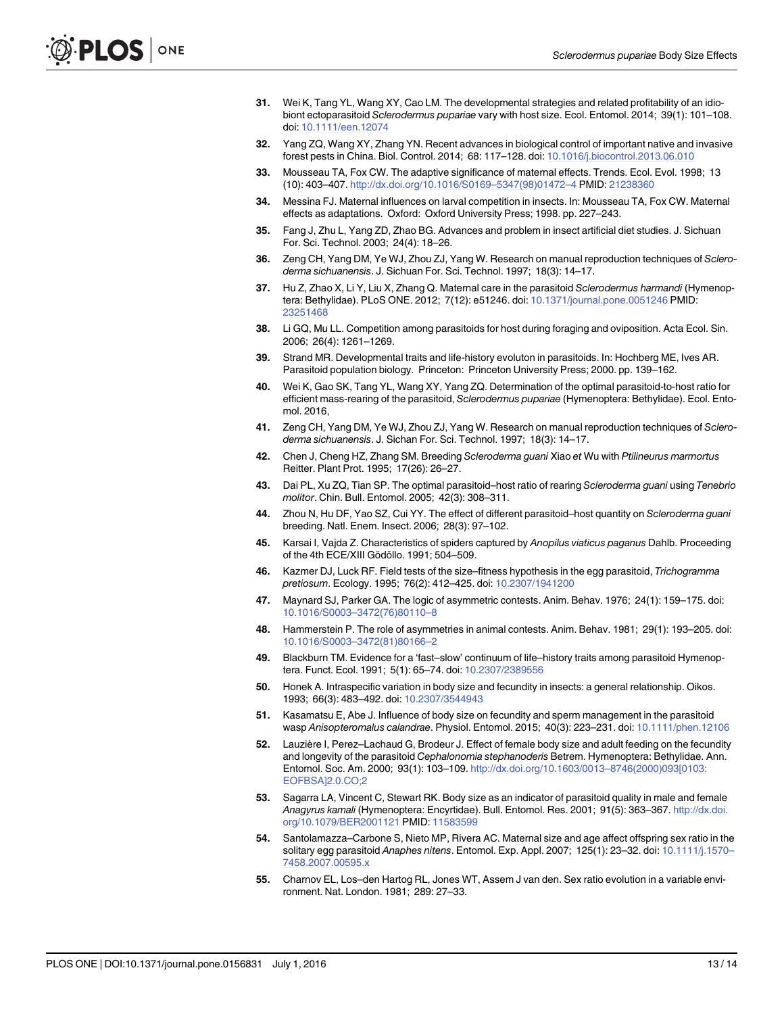- <span id="page-12-0"></span>[31.](#page-1-0) Wei K, Tang YL, Wang XY, Cao LM. The developmental strategies and related profitability of an idiobiont ectoparasitoid Sclerodermus pupariae vary with host size. Ecol. Entomol. 2014; 39(1): 101–108. doi: [10.1111/een.12074](http://dx.doi.org/10.1111/een.12074)
- [32.](#page-1-0) Yang ZQ, Wang XY, Zhang YN. Recent advances in biological control of important native and invasive forest pests in China. Biol. Control. 2014; 68: 117–128. doi: [10.1016/j.biocontrol.2013.06.010](http://dx.doi.org/10.1016/j.biocontrol.2013.06.010)
- [33.](#page-1-0) Mousseau TA, Fox CW. The adaptive significance of maternal effects. Trends. Ecol. Evol. 1998; 13 (10): 403–407. [http://dx.doi.org/10.1016/S0169](http://dx.doi.org/10.1016/S0169–5347(98)01472–4)–5347(98)01472–4 PMID: [21238360](http://www.ncbi.nlm.nih.gov/pubmed/21238360)
- [34.](#page-1-0) Messina FJ. Maternal influences on larval competition in insects. In: Mousseau TA, Fox CW. Maternal effects as adaptations. Oxford: Oxford University Press; 1998. pp. 227–243.
- [35.](#page-2-0) Fang J, Zhu L, Yang ZD, Zhao BG. Advances and problem in insect artificial diet studies. J. Sichuan For. Sci. Technol. 2003; 24(4): 18–26.
- [36.](#page-2-0) Zeng CH, Yang DM, Ye WJ, Zhou ZJ, Yang W. Research on manual reproduction techniques of Scleroderma sichuanensis. J. Sichuan For. Sci. Technol. 1997; 18(3): 14–17.
- [37.](#page-2-0) Hu Z, Zhao X, Li Y, Liu X, Zhang Q. Maternal care in the parasitoid Sclerodermus harmandi (Hymenoptera: Bethylidae). PLoS ONE. 2012; 7(12): e51246. doi: [10.1371/journal.pone.0051246](http://dx.doi.org/10.1371/journal.pone.0051246) PMID: [23251468](http://www.ncbi.nlm.nih.gov/pubmed/23251468)
- [38.](#page-2-0) Li GQ, Mu LL. Competition among parasitoids for host during foraging and oviposition. Acta Ecol. Sin. 2006; 26(4): 1261–1269.
- [39.](#page-2-0) Strand MR. Developmental traits and life-history evoluton in parasitoids. In: Hochberg ME, Ives AR. Parasitoid population biology. Princeton: Princeton University Press; 2000. pp. 139–162.
- [40.](#page-6-0) Wei K, Gao SK, Tang YL, Wang XY, Yang ZQ. Determination of the optimal parasitoid-to-host ratio for efficient mass-rearing of the parasitoid, Sclerodermus pupariae (Hymenoptera: Bethylidae). Ecol. Entomol. 2016,
- [41.](#page-6-0) Zeng CH, Yang DM, Ye WJ, Zhou ZJ, Yang W. Research on manual reproduction techniques of Scleroderma sichuanensis. J. Sichan For. Sci. Technol. 1997; 18(3): 14–17.
- [42.](#page-6-0) Chen J, Cheng HZ, Zhang SM. Breeding Scleroderma guani Xiao et Wu with Ptilineurus marmortus Reitter. Plant Prot. 1995; 17(26): 26–27.
- 43. Dai PL, Xu ZQ, Tian SP. The optimal parasitoid–host ratio of rearing Scleroderma guani using Tenebrio molitor. Chin. Bull. Entomol. 2005; 42(3): 308–311.
- [44.](#page-6-0) Zhou N, Hu DF, Yao SZ, Cui YY. The effect of different parasitoid–host quantity on Scleroderma guani breeding. Natl. Enem. Insect. 2006; 28(3): 97–102.
- [45.](#page-8-0) Karsai I, Vajda Z. Characteristics of spiders captured by Anopilus viaticus paganus Dahlb. Proceeding of the 4th ECE/XIII Gödöllo. 1991; 504–509.
- [46.](#page-8-0) Kazmer DJ, Luck RF. Field tests of the size–fitness hypothesis in the egg parasitoid, Trichogramma pretiosum. Ecology. 1995; 76(2): 412-425. doi: [10.2307/1941200](http://dx.doi.org/10.2307/1941200)
- [47.](#page-8-0) Maynard SJ, Parker GA. The logic of asymmetric contests. Anim. Behav. 1976; 24(1): 159–175. doi: [10.1016/S0003](http://dx.doi.org/10.1016/S0003–3472(76)80110–8)–3472(76)80110–8
- [48.](#page-8-0) Hammerstein P. The role of asymmetries in animal contests. Anim. Behav. 1981; 29(1): 193–205. doi: [10.1016/S0003](http://dx.doi.org/10.1016/S0003–3472(81)80166–2)–3472(81)80166–2
- [49.](#page-8-0) Blackburn TM. Evidence for a 'fast–slow' continuum of life–history traits among parasitoid Hymenop-tera. Funct. Ecol. 1991; 5(1): 65-74. doi: [10.2307/2389556](http://dx.doi.org/10.2307/2389556)
- [50.](#page-8-0) Honek A. Intraspecific variation in body size and fecundity in insects: a general relationship. Oikos. 1993; 66(3): 483–492. doi: [10.2307/3544943](http://dx.doi.org/10.2307/3544943)
- [51.](#page-8-0) Kasamatsu E, Abe J. Influence of body size on fecundity and sperm management in the parasitoid wasp Anisopteromalus calandrae. Physiol. Entomol. 2015; 40(3): 223-231. doi: [10.1111/phen.12106](http://dx.doi.org/10.1111/phen.12106)
- [52.](#page-8-0) Lauzière I, Perez–Lachaud G, Brodeur J. Effect of female body size and adult feeding on the fecundity and longevity of the parasitoid Cephalonomia stephanoderis Betrem. Hymenoptera: Bethylidae. Ann. Entomol. Soc. Am. 2000; 93(1): 103–109. [http://dx.doi.org/10.1603/0013](http://dx.doi.org/10.1603/0013–8746(2000)093[0103:EOFBSA]2.0.CO;2)–8746(2000)093[0103: [EOFBSA\]2.0.CO;2](http://dx.doi.org/10.1603/0013–8746(2000)093[0103:EOFBSA]2.0.CO;2)
- [53.](#page-8-0) Sagarra LA, Vincent C, Stewart RK. Body size as an indicator of parasitoid quality in male and female Anagyrus kamali (Hymenoptera: Encyrtidae). Bull. Entomol. Res. 2001; 91(5): 363-367. [http://dx.doi.](http://dx.doi.org/10.1079/BER2001121) [org/10.1079/BER2001121](http://dx.doi.org/10.1079/BER2001121) PMID: [11583599](http://www.ncbi.nlm.nih.gov/pubmed/11583599)
- [54.](#page-8-0) Santolamazza–Carbone S, Nieto MP, Rivera AC. Maternal size and age affect offspring sex ratio in the solitary egg parasitoid Anaphes nitens. Entomol. Exp. Appl. 2007; 125(1): 23-32. doi: [10.1111/j.1570](http://dx.doi.org/10.1111/j.1570–7458.2007.00595.x)-[7458.2007.00595.x](http://dx.doi.org/10.1111/j.1570–7458.2007.00595.x)
- [55.](#page-8-0) Charnov EL, Los–den Hartog RL, Jones WT, Assem J van den. Sex ratio evolution in a variable environment. Nat. London. 1981; 289: 27–33.